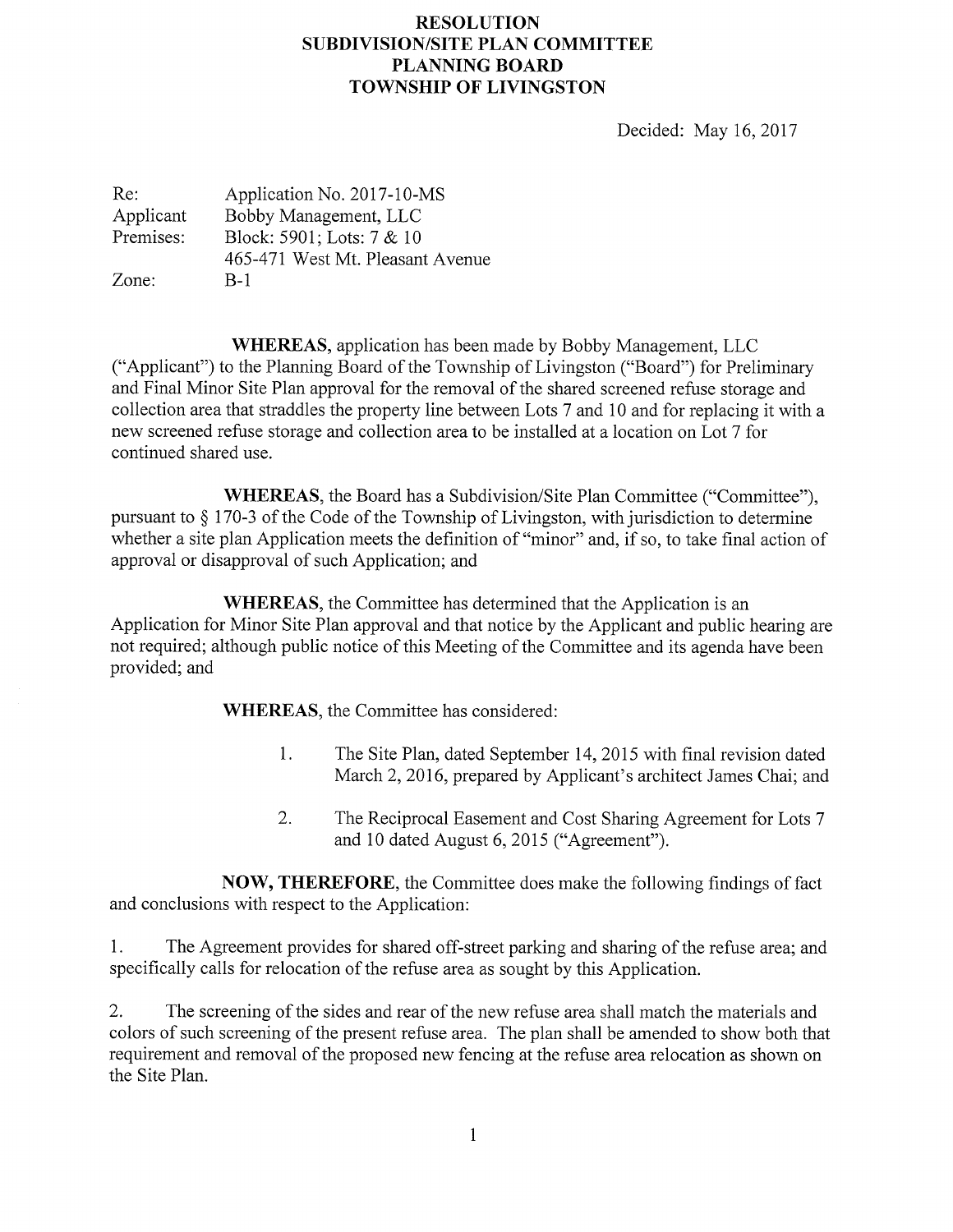## RESOLUTION SUBDIVISION/SITE PLAN COMMITTEE PLANNING BOARD TOWNSHIP OF LIVINGSTON

Decided: May 16, 2017

| Re:       | Application No. 2017-10-MS       |
|-----------|----------------------------------|
| Applicant | Bobby Management, LLC            |
| Premises: | Block: 5901; Lots: 7 & 10        |
|           | 465-471 West Mt. Pleasant Avenue |
| Zone:     | $B-1$                            |

WHEREAS, application has been made by Bobby Management, LLC ("Applicant") to the Planning Board of the Township of Livingston ("Board") for Preliminary and Final Minor Site Plan approval for the removal of the shared screened refuse storage and collection area that straddles the property line between Lots 7 and 10 and for replacing it with a new screened refuse storage and collection area to be installed at a location on Lot 7 for continued shared use.

WHEREAS, the Board has a Subdivision/Site Plan Committee ("Committee"), pursuant to § 170-3 of the Code of the Township of Livingston, with jurisdiction to determine whether a site plan Application meets the definition of "minor" and, if so, to take final action of approval or disapproval of such Application; and

WHEREAS, the Committee has determined that the Application is an Application for Minor Site Plan approval and that notice by the Applicant and public hearing are not required; although public notice of this Meeting of the Committee and its agenda have been provided; and

WHEREAS, the Committee has considered:

- 1. The Site Plan, dated September 14, 2015 with final revision dated March 2, 2016, prepared by Applicant's architect James Chai; and
- 2. The Reciprocal Easement and Cost Sharing Agreement for Lots 7 and 10 dated August 6, 2015 ("Agreement").

NOW, THEREFORE, the Committee does make the following findings of fact and conclusions with respect to the Application:

1. The Agreement provides for shared off-street parking and sharing of the refuse area; and specifically calls for relocation of the refuse area as sought by this Application.

2. The screening of the sides and rear of the new refuse area shall match the materials and colors of such screening of the present refuse area. The plan shall be amended to show both that requirement and removal of the proposed new fencing at the refuse area relocation as shown on the Site Plan.